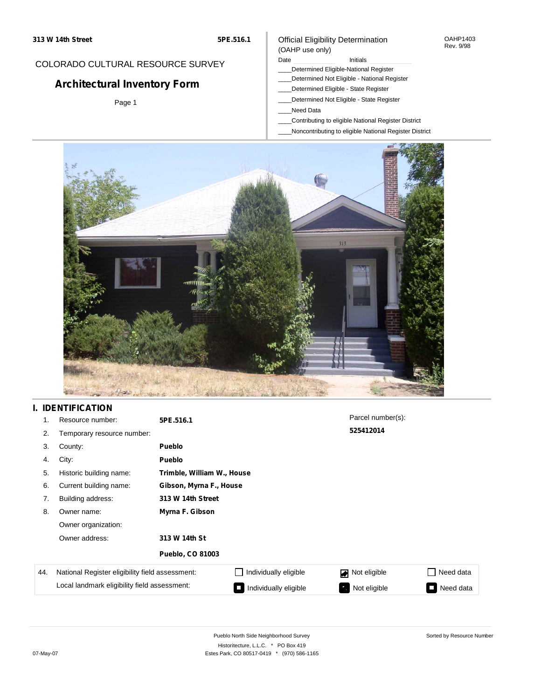## COLORADO CULTURAL RESOURCE SURVEY

# **Architectural Inventory Form**

Page 1

#### Official Eligibility Determination (OAHP use only)

Date **Initials** Initials

- \_\_\_\_Determined Eligible-National Register
- \_\_\_\_Determined Not Eligible National Register
- \_\_\_\_Determined Eligible State Register
- \_\_\_\_Determined Not Eligible State Register
- \_\_\_\_Need Data
- \_\_\_\_Contributing to eligible National Register District
- \_\_\_\_Noncontributing to eligible National Register District



## **I. IDENTIFICATION**

| 1.  | Resource number:                                | 5PE.516.1                  |                       | Parcel number(s):              |           |
|-----|-------------------------------------------------|----------------------------|-----------------------|--------------------------------|-----------|
| 2.  | Temporary resource number:                      |                            |                       | 525412014                      |           |
| 3.  | County:                                         | <b>Pueblo</b>              |                       |                                |           |
| 4.  | City:                                           | <b>Pueblo</b>              |                       |                                |           |
| 5.  | Historic building name:                         | Trimble, William W., House |                       |                                |           |
| 6.  | Current building name:                          | Gibson, Myrna F., House    |                       |                                |           |
| 7.  | Building address:                               | 313 W 14th Street          |                       |                                |           |
| 8.  | Owner name:                                     | Myrna F. Gibson            |                       |                                |           |
|     | Owner organization:                             |                            |                       |                                |           |
|     | Owner address:                                  | 313 W 14th St              |                       |                                |           |
|     |                                                 | Pueblo, CO 81003           |                       |                                |           |
| 44. | National Register eligibility field assessment: |                            | Individually eligible | Not eligible<br>$\blacksquare$ | Need data |
|     | Local landmark eligibility field assessment:    |                            | Individually eligible | Not eligible                   | Need data |

Sorted by Resource Number

OAHP1403 Rev. 9/98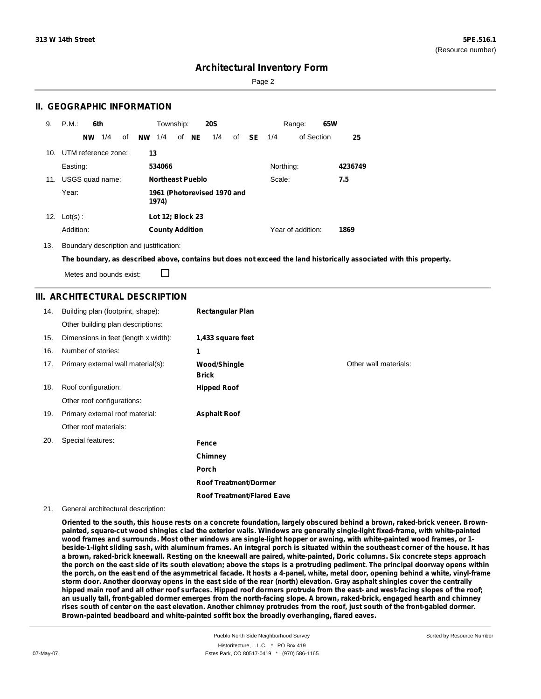Page 2

### **II. GEOGRAPHIC INFORMATION**

| 9.  | P.M.<br>6th            | Township:<br><b>20S</b>                | 65W<br>Range:               |         |
|-----|------------------------|----------------------------------------|-----------------------------|---------|
|     | 1/4<br><b>NW</b><br>of | <b>NW</b><br>of NE<br>1/4<br>1/4<br>of | <b>SE</b> 1/4<br>of Section | 25      |
| 10. | UTM reference zone:    | 13                                     |                             |         |
|     | Easting:               | 534066                                 | Northing:                   | 4236749 |
| 11. | USGS quad name:        | <b>Northeast Pueblo</b>                | Scale:                      | 7.5     |
|     | Year:                  | 1961 (Photorevised 1970 and<br>1974)   |                             |         |
| 12. | $Lot(s)$ :             | Lot 12; Block 23                       |                             |         |
|     | Addition:              | <b>County Addition</b>                 | Year of addition:           | 1869    |

13. Boundary description and justification:

The boundary, as described above, contains but does not exceed the land historically associated with this property.

Metes and bounds exist:

П

### **III. ARCHITECTURAL DESCRIPTION**

| 14. | Building plan (footprint, shape):    | <b>Rectangular Plan</b>             |                       |
|-----|--------------------------------------|-------------------------------------|-----------------------|
|     | Other building plan descriptions:    |                                     |                       |
| 15. | Dimensions in feet (length x width): | 1,433 square feet                   |                       |
| 16. | Number of stories:                   | 1                                   |                       |
| 17. | Primary external wall material(s):   | <b>Wood/Shingle</b><br><b>Brick</b> | Other wall materials: |
| 18. | Roof configuration:                  | <b>Hipped Roof</b>                  |                       |
|     | Other roof configurations:           |                                     |                       |
| 19. | Primary external roof material:      | <b>Asphalt Roof</b>                 |                       |
|     | Other roof materials:                |                                     |                       |
| 20. | Special features:                    | Fence                               |                       |
|     |                                      | Chimney                             |                       |
|     |                                      | Porch                               |                       |
|     |                                      | <b>Roof Treatment/Dormer</b>        |                       |
|     |                                      | <b>Roof Treatment/Flared Eave</b>   |                       |

#### 21. General architectural description:

Oriented to the south, this house rests on a concrete foundation, largely obscured behind a brown, raked-brick veneer. Brownpainted, square-cut wood shingles clad the exterior walls. Windows are generally single-light fixed-frame, with white-painted wood frames and surrounds. Most other windows are single-light hopper or awning, with white-painted wood frames, or 1beside-1-light sliding sash, with aluminum frames. An integral porch is situated within the southeast corner of the house. It has a brown, raked-brick kneewall. Resting on the kneewall are paired, white-painted, Doric columns. Six concrete steps approach the porch on the east side of its south elevation; above the steps is a protruding pediment. The principal doorway opens within the porch, on the east end of the asymmetrical facade. It hosts a 4-panel, white, metal door, opening behind a white, vinyl-frame storm door. Another doorway opens in the east side of the rear (north) elevation. Gray asphalt shingles cover the centrally hipped main roof and all other roof surfaces. Hipped roof dormers protrude from the east- and west-facing slopes of the roof; an usually tall, front-gabled dormer emerges from the north-facing slope. A brown, raked-brick, engaged hearth and chimney rises south of center on the east elevation. Another chimney protrudes from the roof, just south of the front-gabled dormer. **Brown-painted beadboard and white-painted soffit box the broadly overhanging, flared eaves.**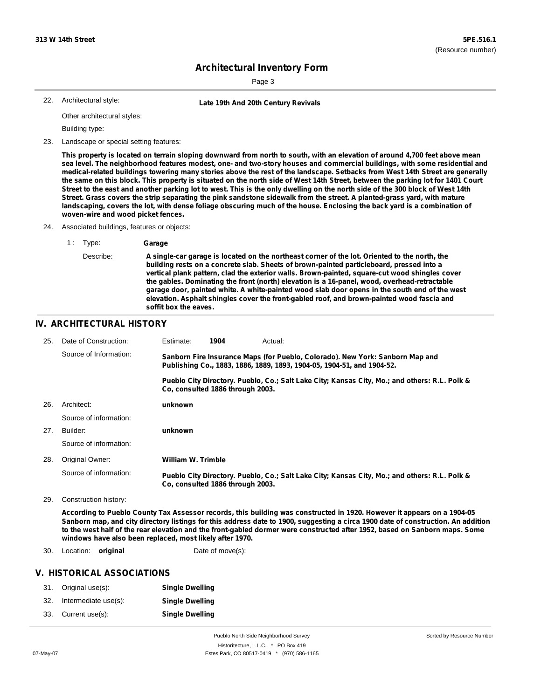Sorted by Resource Number

## **Architectural Inventory Form**

Page 3

```
22. Architectural style:
```
**Late 19th And 20th Century Revivals** 

Other architectural styles:

Building type:

23. Landscape or special setting features:

This property is located on terrain sloping downward from north to south, with an elevation of around 4,700 feet above mean sea level. The neighborhood features modest, one- and two-story houses and commercial buildings, with some residential and medical-related buildings towering many stories above the rest of the landscape. Setbacks from West 14th Street are generally the same on this block. This property is situated on the north side of West 14th Street, between the parking lot for 1401 Court Street to the east and another parking lot to west. This is the only dwelling on the north side of the 300 block of West 14th Street. Grass covers the strip separating the pink sandstone sidewalk from the street. A planted-grass yard, with mature landscaping, covers the lot, with dense foliage obscuring much of the house. Enclosing the back yard is a combination of **woven-wire and wood picket fences.**

- 24. Associated buildings, features or objects:
	- 1 : Type: **Garage** Describe: **A single-car garage is located on the northeast corner of the lot. Oriented to the north, the building rests on a concrete slab. Sheets of brown-painted particleboard, pressed into a vertical plank pattern, clad the exterior walls. Brown-painted, square-cut wood shingles cover the gables. Dominating the front (north) elevation is a 16-panel, wood, overhead-retractable garage door, painted white. A white-painted wood slab door opens in the south end of the west elevation. Asphalt shingles cover the front-gabled roof, and brown-painted wood fascia and soffit box the eaves.**

#### **IV. ARCHITECTURAL HISTORY**

| 25. | Date of Construction:  | Estimate:                                                                                                                                               | 1904 | Actual:                                                                                       |
|-----|------------------------|---------------------------------------------------------------------------------------------------------------------------------------------------------|------|-----------------------------------------------------------------------------------------------|
|     | Source of Information: | Sanborn Fire Insurance Maps (for Pueblo, Colorado). New York: Sanborn Map and<br>Publishing Co., 1883, 1886, 1889, 1893, 1904-05, 1904-51, and 1904-52. |      |                                                                                               |
|     |                        | Co. consulted 1886 through 2003.                                                                                                                        |      | Pueblo City Directory. Pueblo, Co.; Salt Lake City; Kansas City, Mo.; and others: R.L. Polk & |
| 26. | Architect:             | unknown                                                                                                                                                 |      |                                                                                               |
|     | Source of information: |                                                                                                                                                         |      |                                                                                               |
| 27. | Builder:               | unknown                                                                                                                                                 |      |                                                                                               |
|     | Source of information: |                                                                                                                                                         |      |                                                                                               |
| 28. | Original Owner:        | William W. Trimble                                                                                                                                      |      |                                                                                               |
|     | Source of information: | Co. consulted 1886 through 2003.                                                                                                                        |      | Pueblo City Directory. Pueblo, Co.; Salt Lake City; Kansas City, Mo.; and others: R.L. Polk & |

29. Construction history:

According to Pueblo County Tax Assessor records, this building was constructed in 1920. However it appears on a 1904-05 Sanborn map, and city directory listings for this address date to 1900, suggesting a circa 1900 date of construction. An addition to the west half of the rear elevation and the front-gabled dormer were constructed after 1952, based on Sanborn maps. Some **windows have also been replaced, most likely after 1970.**

30. Location: **original Date of move(s):** 

#### **V. HISTORICAL ASSOCIATIONS**

|     | 31. Original use(s): | <b>Single Dwelling</b> |
|-----|----------------------|------------------------|
| 32. | Intermediate use(s): | <b>Single Dwelling</b> |
| 33. | Current use(s):      | <b>Single Dwelling</b> |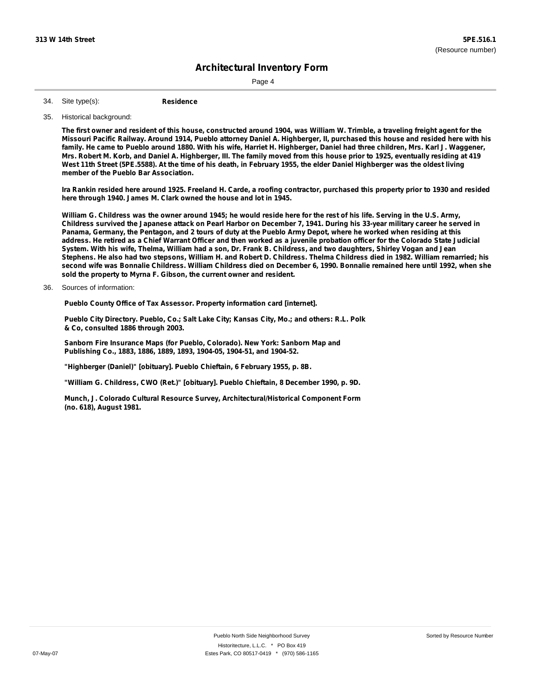Page 4

**Residence** Site type(s): 34.

35. Historical background:

The first owner and resident of this house, constructed around 1904, was William W. Trimble, a traveling freight agent for the Missouri Pacific Railway. Around 1914, Pueblo attorney Daniel A. Highberger, II, purchased this house and resided here with his family. He came to Pueblo around 1880. With his wife, Harriet H. Highberger, Daniel had three children, Mrs. Karl J. Waggener, Mrs. Robert M. Korb, and Daniel A. Highberger, III. The family moved from this house prior to 1925, eventually residing at 419 West 11th Street (5PE.5588). At the time of his death, in February 1955, the elder Daniel Highberger was the oldest living **member of the Pueblo Bar Association.**

Ira Rankin resided here around 1925. Freeland H. Carde, a roofing contractor, purchased this property prior to 1930 and resided **here through 1940. James M. Clark owned the house and lot in 1945.**

William G. Childress was the owner around 1945; he would reside here for the rest of his life. Serving in the U.S. Army, Childress survived the Japanese attack on Pearl Harbor on December 7, 1941. During his 33-year military career he served in Panama, Germany, the Pentagon, and 2 tours of duty at the Pueblo Army Depot, where he worked when residing at this address. He retired as a Chief Warrant Officer and then worked as a juvenile probation officer for the Colorado State Judicial System. With his wife, Thelma, William had a son, Dr. Frank B. Childress, and two daughters, Shirley Vogan and Jean Stephens. He also had two stepsons, William H. and Robert D. Childress. Thelma Childress died in 1982. William remarried: his second wife was Bonnalie Childress. William Childress died on December 6, 1990. Bonnalie remained here until 1992, when she **sold the property to Myrna F. Gibson, the current owner and resident.**

36. Sources of information:

**Pueblo County Office of Tax Assessor. Property information card [internet].**

**Pueblo City Directory. Pueblo, Co.; Salt Lake City; Kansas City, Mo.; and others: R.L. Polk & Co, consulted 1886 through 2003.**

**Sanborn Fire Insurance Maps (for Pueblo, Colorado). New York: Sanborn Map and Publishing Co., 1883, 1886, 1889, 1893, 1904-05, 1904-51, and 1904-52.**

**"Highberger (Daniel)" [obituary]. Pueblo Chieftain, 6 February 1955, p. 8B.**

**"William G. Childress, CWO (Ret.)" [obituary]. Pueblo Chieftain, 8 December 1990, p. 9D.**

**Munch, J. Colorado Cultural Resource Survey, Architectural/Historical Component Form (no. 618), August 1981.**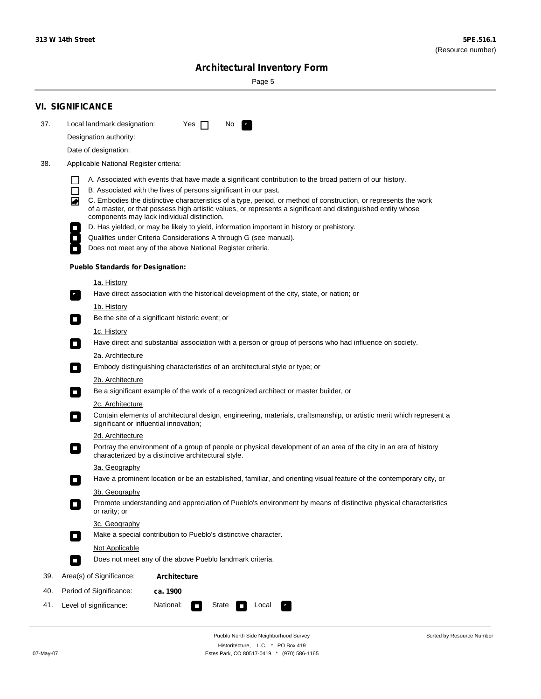÷

Sorted by Resource Number

# **Architectural Inventory Form**

Page 5

|     | <b>VI. SIGNIFICANCE</b>                                                                                                                                                                                                                |  |  |  |  |  |
|-----|----------------------------------------------------------------------------------------------------------------------------------------------------------------------------------------------------------------------------------------|--|--|--|--|--|
| 37. | Local landmark designation:<br>Yes $\Box$<br>No.<br>$\mathbf{r}_\perp$                                                                                                                                                                 |  |  |  |  |  |
|     | Designation authority:                                                                                                                                                                                                                 |  |  |  |  |  |
|     | Date of designation:                                                                                                                                                                                                                   |  |  |  |  |  |
| 38. | Applicable National Register criteria:                                                                                                                                                                                                 |  |  |  |  |  |
|     |                                                                                                                                                                                                                                        |  |  |  |  |  |
|     | A. Associated with events that have made a significant contribution to the broad pattern of our history.<br>B. Associated with the lives of persons significant in our past.<br>l I                                                    |  |  |  |  |  |
|     | C. Embodies the distinctive characteristics of a type, period, or method of construction, or represents the work<br>◚<br>of a master, or that possess high artistic values, or represents a significant and distinguished entity whose |  |  |  |  |  |
|     | components may lack individual distinction.                                                                                                                                                                                            |  |  |  |  |  |
|     | D. Has yielded, or may be likely to yield, information important in history or prehistory.<br>Qualifies under Criteria Considerations A through G (see manual).<br>Does not meet any of the above National Register criteria.          |  |  |  |  |  |
|     |                                                                                                                                                                                                                                        |  |  |  |  |  |
|     | <b>Pueblo Standards for Designation:</b>                                                                                                                                                                                               |  |  |  |  |  |
|     | <u>1a. History</u>                                                                                                                                                                                                                     |  |  |  |  |  |
|     | Have direct association with the historical development of the city, state, or nation; or<br>$\mathbf{r}_\perp$                                                                                                                        |  |  |  |  |  |
|     | <u>1b. History</u><br>Be the site of a significant historic event; or<br>$\blacksquare$                                                                                                                                                |  |  |  |  |  |
|     | 1c. History                                                                                                                                                                                                                            |  |  |  |  |  |
|     | Have direct and substantial association with a person or group of persons who had influence on society.<br>$\blacksquare$                                                                                                              |  |  |  |  |  |
|     | 2a. Architecture                                                                                                                                                                                                                       |  |  |  |  |  |
|     | Embody distinguishing characteristics of an architectural style or type; or<br>$\Box$                                                                                                                                                  |  |  |  |  |  |
|     | 2b. Architecture                                                                                                                                                                                                                       |  |  |  |  |  |
|     | Be a significant example of the work of a recognized architect or master builder, or<br>$\mathcal{L}_{\mathcal{A}}$                                                                                                                    |  |  |  |  |  |
|     | 2c. Architecture                                                                                                                                                                                                                       |  |  |  |  |  |
|     | Contain elements of architectural design, engineering, materials, craftsmanship, or artistic merit which represent a<br>$\mathcal{L}_{\mathcal{A}}$<br>significant or influential innovation;                                          |  |  |  |  |  |
|     | 2d. Architecture                                                                                                                                                                                                                       |  |  |  |  |  |
|     | Portray the environment of a group of people or physical development of an area of the city in an era of history<br>$\mathcal{L}_{\mathcal{A}}$<br>characterized by a distinctive architectural style.                                 |  |  |  |  |  |
|     | 3a. Geography                                                                                                                                                                                                                          |  |  |  |  |  |
|     | Have a prominent location or be an established, familiar, and orienting visual feature of the contemporary city, or<br>П                                                                                                               |  |  |  |  |  |
|     | 3b. Geography                                                                                                                                                                                                                          |  |  |  |  |  |
|     | Promote understanding and appreciation of Pueblo's environment by means of distinctive physical characteristics<br>or rarity; or                                                                                                       |  |  |  |  |  |
|     | 3c. Geography<br>Make a special contribution to Pueblo's distinctive character.<br>$\overline{\phantom{a}}$                                                                                                                            |  |  |  |  |  |
|     | Not Applicable                                                                                                                                                                                                                         |  |  |  |  |  |
|     | Does not meet any of the above Pueblo landmark criteria.<br>$\overline{\phantom{a}}$                                                                                                                                                   |  |  |  |  |  |
| 39. | Area(s) of Significance:<br><b>Architecture</b>                                                                                                                                                                                        |  |  |  |  |  |
| 40. | Period of Significance:<br>ca. 1900                                                                                                                                                                                                    |  |  |  |  |  |
| 41. | National:<br>Level of significance:<br>State<br>Local                                                                                                                                                                                  |  |  |  |  |  |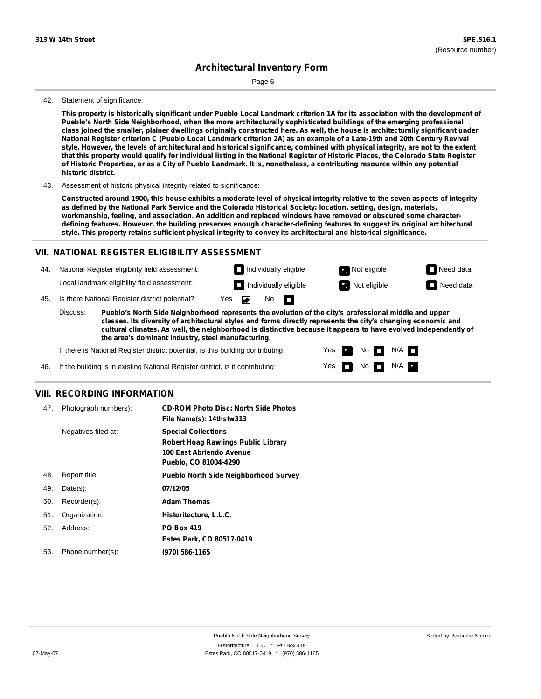Page 6

#### 42. Statement of significance:

This property is historically significant under Pueblo Local Landmark criterion 1A for its association with the development of **Pueblo's North Side Neighborhood, when the more architecturally sophisticated buildings of the emerging professional** class joined the smaller, plainer dwellings originally constructed here. As well, the house is architecturally significant under National Register criterion C (Pueblo Local Landmark criterion 2A) as an example of a Late-19th and 20th Century Revival style. However, the levels of architectural and historical significance, combined with physical integrity, are not to the extent that this property would qualify for individual listing in the National Register of Historic Places, the Colorado State Register of Historic Properties, or as a City of Pueblo Landmark. It is, nonetheless, a contributing resource within any potential **historic district.**

43. Assessment of historic physical integrity related to significance:

Constructed around 1900, this house exhibits a moderate level of physical integrity relative to the seven aspects of integrity as defined by the National Park Service and the Colorado Historical Society: location, setting, design, materials, **workmanship, feeling, and association. An addition and replaced windows have removed or obscured some characterdefining features. However, the building preserves enough character-defining features to suggest its original architectural style. This property retains sufficient physical integrity to convey its architectural and historical significance.**

#### **VII. NATIONAL REGISTER ELIGIBILITY ASSESSMENT**

44. National Register eligibility field assessment: Local landmark eligibility field assessment:

**Individually eligible Not eligible** Not eligible **Need data** No m

> Yes Yes

No

 $No$   $M/A$ 

 $N/A$ 

**Individually eligible Not eligible** Not eligible **Need data** 

45. Is there National Register district potential? Yes

**Pueblo's North Side Neighborhood represents the evolution of the city's professional middle and upper classes. Its diversity of architectural styles and forms directly represents the city's changing economic and cultural climates. As well, the neighborhood is distinctive because it appears to have evolved independently of the area's dominant industry, steel manufacturing.** Discuss:

If there is National Register district potential, is this building contributing:

If the building is in existing National Register district, is it contributing: 46.

#### **VIII. RECORDING INFORMATION**

| 47. | Photograph numbers): | <b>CD-ROM Photo Disc: North Side Photos</b><br>File Name(s): 14thstw313                                                       |
|-----|----------------------|-------------------------------------------------------------------------------------------------------------------------------|
|     | Negatives filed at:  | <b>Special Collections</b><br><b>Robert Hoag Rawlings Public Library</b><br>100 East Abriendo Avenue<br>Pueblo, CO 81004-4290 |
| 48. | Report title:        | <b>Pueblo North Side Neighborhood Survey</b>                                                                                  |
| 49. | $Date(s)$ :          | 07/12/05                                                                                                                      |
| 50. | Recorder(s):         | <b>Adam Thomas</b>                                                                                                            |
| 51. | Organization:        | Historitecture, L.L.C.                                                                                                        |
| 52. | Address:             | <b>PO Box 419</b>                                                                                                             |
|     |                      | Estes Park, CO 80517-0419                                                                                                     |
| 53. | Phone number(s):     | (970) 586-1165                                                                                                                |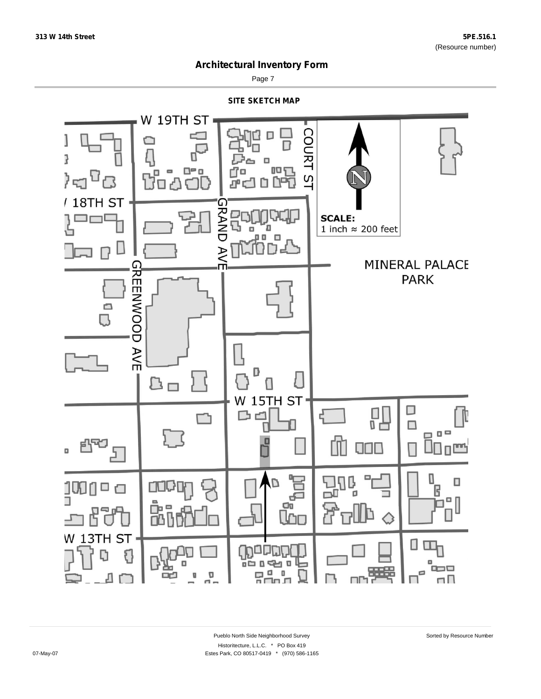

Page 7